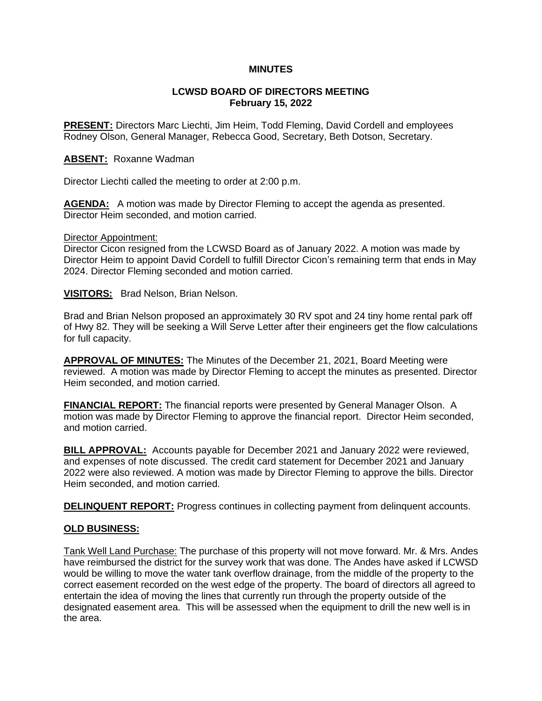# **MINUTES**

## **LCWSD BOARD OF DIRECTORS MEETING February 15, 2022**

**PRESENT:** Directors Marc Liechti, Jim Heim, Todd Fleming, David Cordell and employees Rodney Olson, General Manager, Rebecca Good, Secretary, Beth Dotson, Secretary.

# **ABSENT:** Roxanne Wadman

Director Liechti called the meeting to order at 2:00 p.m.

AGENDA: A motion was made by Director Fleming to accept the agenda as presented. Director Heim seconded, and motion carried.

#### Director Appointment:

Director Cicon resigned from the LCWSD Board as of January 2022. A motion was made by Director Heim to appoint David Cordell to fulfill Director Cicon's remaining term that ends in May 2024. Director Fleming seconded and motion carried.

**VISITORS:** Brad Nelson, Brian Nelson.

Brad and Brian Nelson proposed an approximately 30 RV spot and 24 tiny home rental park off of Hwy 82. They will be seeking a Will Serve Letter after their engineers get the flow calculations for full capacity.

**APPROVAL OF MINUTES:** The Minutes of the December 21, 2021, Board Meeting were reviewed. A motion was made by Director Fleming to accept the minutes as presented. Director Heim seconded, and motion carried.

**FINANCIAL REPORT:** The financial reports were presented by General Manager Olson. A motion was made by Director Fleming to approve the financial report. Director Heim seconded, and motion carried.

**BILL APPROVAL:** Accounts payable for December 2021 and January 2022 were reviewed, and expenses of note discussed. The credit card statement for December 2021 and January 2022 were also reviewed. A motion was made by Director Fleming to approve the bills. Director Heim seconded, and motion carried.

**DELINQUENT REPORT:** Progress continues in collecting payment from delinquent accounts.

## **OLD BUSINESS:**

Tank Well Land Purchase: The purchase of this property will not move forward. Mr. & Mrs. Andes have reimbursed the district for the survey work that was done. The Andes have asked if LCWSD would be willing to move the water tank overflow drainage, from the middle of the property to the correct easement recorded on the west edge of the property. The board of directors all agreed to entertain the idea of moving the lines that currently run through the property outside of the designated easement area. This will be assessed when the equipment to drill the new well is in the area.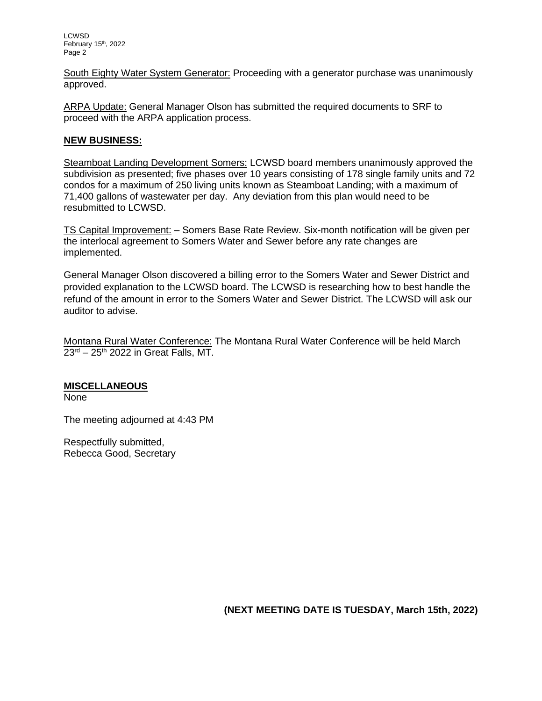LCWSD February 15<sup>th</sup>, 2022 Page 2

South Eighty Water System Generator: Proceeding with a generator purchase was unanimously approved.

ARPA Update: General Manager Olson has submitted the required documents to SRF to proceed with the ARPA application process.

# **NEW BUSINESS:**

Steamboat Landing Development Somers: LCWSD board members unanimously approved the subdivision as presented; five phases over 10 years consisting of 178 single family units and 72 condos for a maximum of 250 living units known as Steamboat Landing; with a maximum of 71,400 gallons of wastewater per day. Any deviation from this plan would need to be resubmitted to LCWSD.

TS Capital Improvement: – Somers Base Rate Review. Six-month notification will be given per the interlocal agreement to Somers Water and Sewer before any rate changes are implemented.

General Manager Olson discovered a billing error to the Somers Water and Sewer District and provided explanation to the LCWSD board. The LCWSD is researching how to best handle the refund of the amount in error to the Somers Water and Sewer District. The LCWSD will ask our auditor to advise.

Montana Rural Water Conference: The Montana Rural Water Conference will be held March  $23<sup>rd</sup> - 25<sup>th</sup>$  2022 in Great Falls, MT,

## **MISCELLANEOUS**

None

The meeting adjourned at 4:43 PM

Respectfully submitted, Rebecca Good, Secretary

**(NEXT MEETING DATE IS TUESDAY, March 15th, 2022)**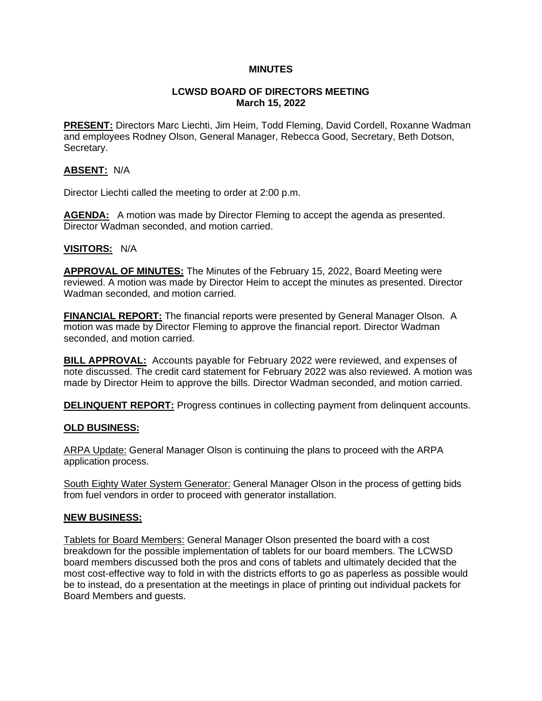# **MINUTES**

# **LCWSD BOARD OF DIRECTORS MEETING March 15, 2022**

**PRESENT:** Directors Marc Liechti, Jim Heim, Todd Fleming, David Cordell, Roxanne Wadman and employees Rodney Olson, General Manager, Rebecca Good, Secretary, Beth Dotson, Secretary.

# **ABSENT:** N/A

Director Liechti called the meeting to order at 2:00 p.m.

**AGENDA:** A motion was made by Director Fleming to accept the agenda as presented. Director Wadman seconded, and motion carried.

## **VISITORS:** N/A

**APPROVAL OF MINUTES:** The Minutes of the February 15, 2022, Board Meeting were reviewed. A motion was made by Director Heim to accept the minutes as presented. Director Wadman seconded, and motion carried.

**FINANCIAL REPORT:** The financial reports were presented by General Manager Olson. A motion was made by Director Fleming to approve the financial report. Director Wadman seconded, and motion carried.

**BILL APPROVAL:** Accounts payable for February 2022 were reviewed, and expenses of note discussed. The credit card statement for February 2022 was also reviewed. A motion was made by Director Heim to approve the bills. Director Wadman seconded, and motion carried.

**DELINQUENT REPORT:** Progress continues in collecting payment from delinguent accounts.

# **OLD BUSINESS:**

ARPA Update: General Manager Olson is continuing the plans to proceed with the ARPA application process.

South Eighty Water System Generator: General Manager Olson in the process of getting bids from fuel vendors in order to proceed with generator installation.

## **NEW BUSINESS:**

Tablets for Board Members: General Manager Olson presented the board with a cost breakdown for the possible implementation of tablets for our board members. The LCWSD board members discussed both the pros and cons of tablets and ultimately decided that the most cost-effective way to fold in with the districts efforts to go as paperless as possible would be to instead, do a presentation at the meetings in place of printing out individual packets for Board Members and guests.